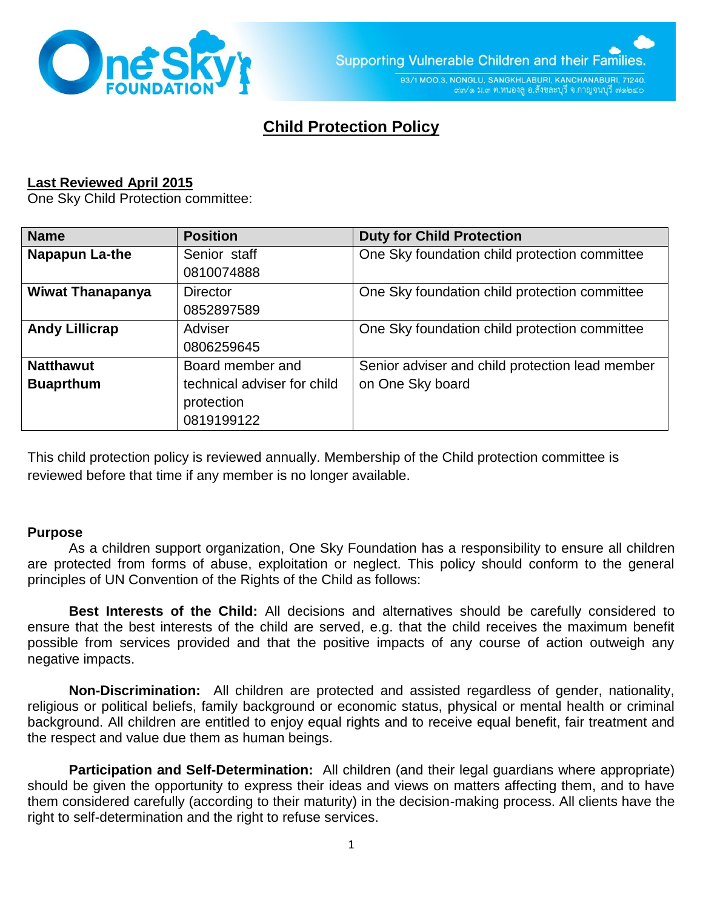

93/1 MOO.3, NONGLU, SANGKHLABURI, KANCHANABURI, 71240. ๙๓/๑ ม.๓ ต.หนองลู อ.สังขละบุรี จ.กาญจนบุรี ๗๑๒๔๐

# **Child Protection Policy**

## **Last Reviewed April 2015**

One Sky Child Protection committee:

| <b>Name</b>             | <b>Position</b>             | <b>Duty for Child Protection</b>                |
|-------------------------|-----------------------------|-------------------------------------------------|
| Napapun La-the          | Senior staff                | One Sky foundation child protection committee   |
|                         | 0810074888                  |                                                 |
| <b>Wiwat Thanapanya</b> | <b>Director</b>             | One Sky foundation child protection committee   |
|                         | 0852897589                  |                                                 |
| <b>Andy Lillicrap</b>   | Adviser                     | One Sky foundation child protection committee   |
|                         | 0806259645                  |                                                 |
| <b>Natthawut</b>        | Board member and            | Senior adviser and child protection lead member |
| <b>Buaprthum</b>        | technical adviser for child | on One Sky board                                |
|                         | protection                  |                                                 |
|                         | 0819199122                  |                                                 |

This child protection policy is reviewed annually. Membership of the Child protection committee is reviewed before that time if any member is no longer available.

#### **Purpose**

As a children support organization, One Sky Foundation has a responsibility to ensure all children are protected from forms of abuse, exploitation or neglect. This policy should conform to the general principles of UN Convention of the Rights of the Child as follows:

**Best Interests of the Child:** All decisions and alternatives should be carefully considered to ensure that the best interests of the child are served, e.g. that the child receives the maximum benefit possible from services provided and that the positive impacts of any course of action outweigh any negative impacts.

**Non-Discrimination:** All children are protected and assisted regardless of gender, nationality, religious or political beliefs, family background or economic status, physical or mental health or criminal background. All children are entitled to enjoy equal rights and to receive equal benefit, fair treatment and the respect and value due them as human beings.

**Participation and Self-Determination:** All children (and their legal guardians where appropriate) should be given the opportunity to express their ideas and views on matters affecting them, and to have them considered carefully (according to their maturity) in the decision-making process. All clients have the right to self-determination and the right to refuse services.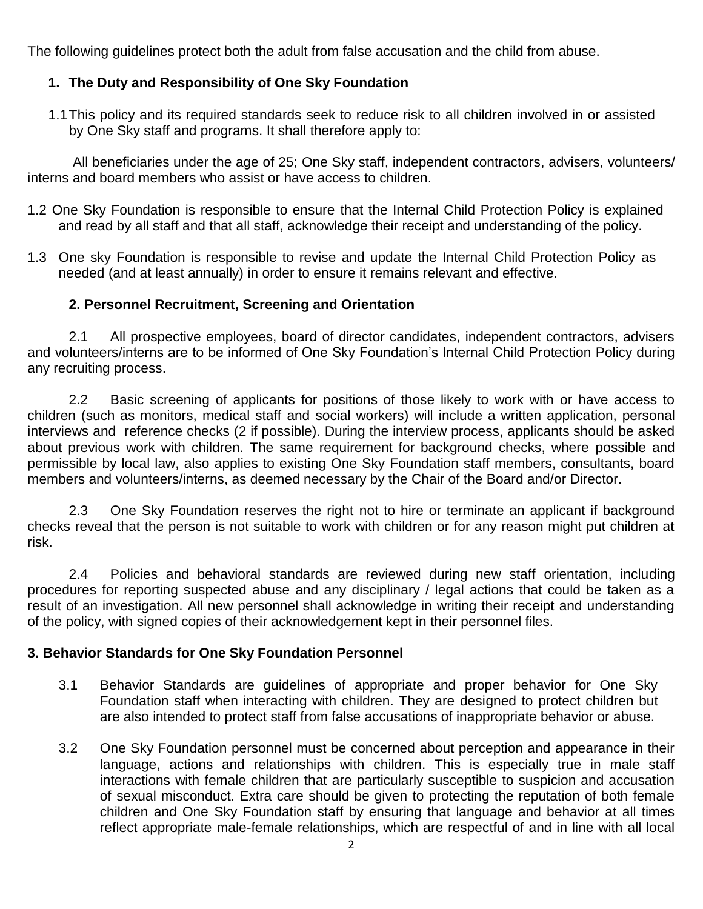The following guidelines protect both the adult from false accusation and the child from abuse.

# **1. The Duty and Responsibility of One Sky Foundation**

1.1This policy and its required standards seek to reduce risk to all children involved in or assisted by One Sky staff and programs. It shall therefore apply to:

All beneficiaries under the age of 25; One Sky staff, independent contractors, advisers, volunteers/ interns and board members who assist or have access to children.

- 1.2 One Sky Foundation is responsible to ensure that the Internal Child Protection Policy is explained and read by all staff and that all staff, acknowledge their receipt and understanding of the policy.
- 1.3 One sky Foundation is responsible to revise and update the Internal Child Protection Policy as needed (and at least annually) in order to ensure it remains relevant and effective.

# **2. Personnel Recruitment, Screening and Orientation**

2.1 All prospective employees, board of director candidates, independent contractors, advisers and volunteers/interns are to be informed of One Sky Foundation's Internal Child Protection Policy during any recruiting process.

2.2 Basic screening of applicants for positions of those likely to work with or have access to children (such as monitors, medical staff and social workers) will include a written application, personal interviews and reference checks (2 if possible). During the interview process, applicants should be asked about previous work with children. The same requirement for background checks, where possible and permissible by local law, also applies to existing One Sky Foundation staff members, consultants, board members and volunteers/interns, as deemed necessary by the Chair of the Board and/or Director.

2.3 One Sky Foundation reserves the right not to hire or terminate an applicant if background checks reveal that the person is not suitable to work with children or for any reason might put children at risk.

2.4 Policies and behavioral standards are reviewed during new staff orientation, including procedures for reporting suspected abuse and any disciplinary / legal actions that could be taken as a result of an investigation. All new personnel shall acknowledge in writing their receipt and understanding of the policy, with signed copies of their acknowledgement kept in their personnel files.

# **3. Behavior Standards for One Sky Foundation Personnel**

- 3.1 Behavior Standards are guidelines of appropriate and proper behavior for One Sky Foundation staff when interacting with children. They are designed to protect children but are also intended to protect staff from false accusations of inappropriate behavior or abuse.
- 3.2 One Sky Foundation personnel must be concerned about perception and appearance in their language, actions and relationships with children. This is especially true in male staff interactions with female children that are particularly susceptible to suspicion and accusation of sexual misconduct. Extra care should be given to protecting the reputation of both female children and One Sky Foundation staff by ensuring that language and behavior at all times reflect appropriate male-female relationships, which are respectful of and in line with all local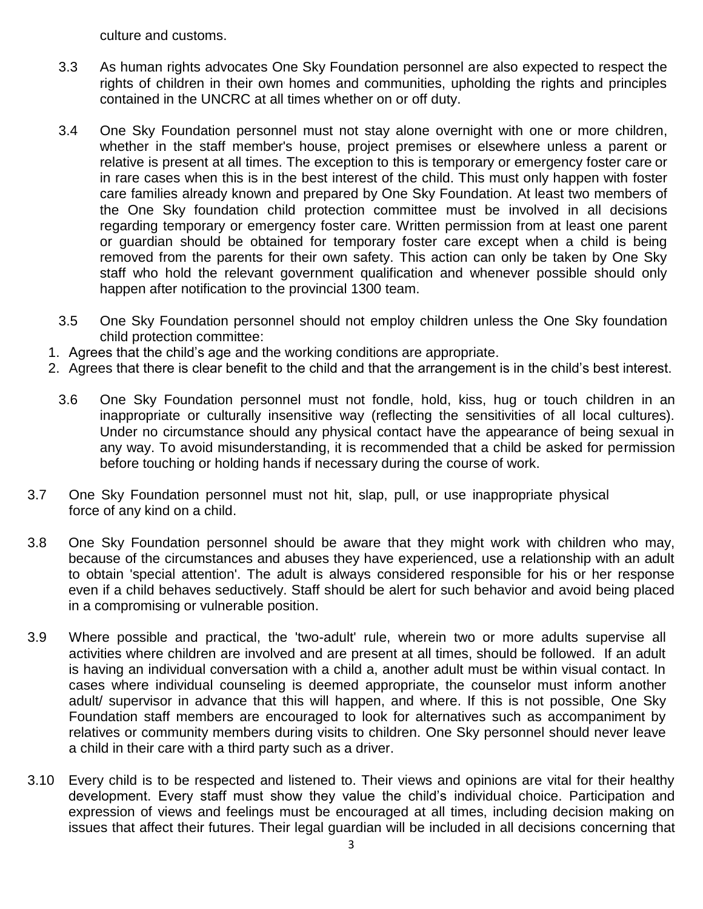culture and customs.

- 3.3 As human rights advocates One Sky Foundation personnel are also expected to respect the rights of children in their own homes and communities, upholding the rights and principles contained in the UNCRC at all times whether on or off duty.
- 3.4 One Sky Foundation personnel must not stay alone overnight with one or more children, whether in the staff member's house, project premises or elsewhere unless a parent or relative is present at all times. The exception to this is temporary or emergency foster care or in rare cases when this is in the best interest of the child. This must only happen with foster care families already known and prepared by One Sky Foundation. At least two members of the One Sky foundation child protection committee must be involved in all decisions regarding temporary or emergency foster care. Written permission from at least one parent or guardian should be obtained for temporary foster care except when a child is being removed from the parents for their own safety. This action can only be taken by One Sky staff who hold the relevant government qualification and whenever possible should only happen after notification to the provincial 1300 team.
- 3.5 One Sky Foundation personnel should not employ children unless the One Sky foundation child protection committee:
- 1. Agrees that the child's age and the working conditions are appropriate.
- 2. Agrees that there is clear benefit to the child and that the arrangement is in the child's best interest.
	- 3.6 One Sky Foundation personnel must not fondle, hold, kiss, hug or touch children in an inappropriate or culturally insensitive way (reflecting the sensitivities of all local cultures). Under no circumstance should any physical contact have the appearance of being sexual in any way. To avoid misunderstanding, it is recommended that a child be asked for permission before touching or holding hands if necessary during the course of work.
- 3.7 One Sky Foundation personnel must not hit, slap, pull, or use inappropriate physical force of any kind on a child.
- 3.8 One Sky Foundation personnel should be aware that they might work with children who may, because of the circumstances and abuses they have experienced, use a relationship with an adult to obtain 'special attention'. The adult is always considered responsible for his or her response even if a child behaves seductively. Staff should be alert for such behavior and avoid being placed in a compromising or vulnerable position.
- 3.9 Where possible and practical, the 'two-adult' rule, wherein two or more adults supervise all activities where children are involved and are present at all times, should be followed. If an adult is having an individual conversation with a child a, another adult must be within visual contact. In cases where individual counseling is deemed appropriate, the counselor must inform another adult/ supervisor in advance that this will happen, and where. If this is not possible, One Sky Foundation staff members are encouraged to look for alternatives such as accompaniment by relatives or community members during visits to children. One Sky personnel should never leave a child in their care with a third party such as a driver.
- 3.10 Every child is to be respected and listened to. Their views and opinions are vital for their healthy development. Every staff must show they value the child's individual choice. Participation and expression of views and feelings must be encouraged at all times, including decision making on issues that affect their futures. Their legal guardian will be included in all decisions concerning that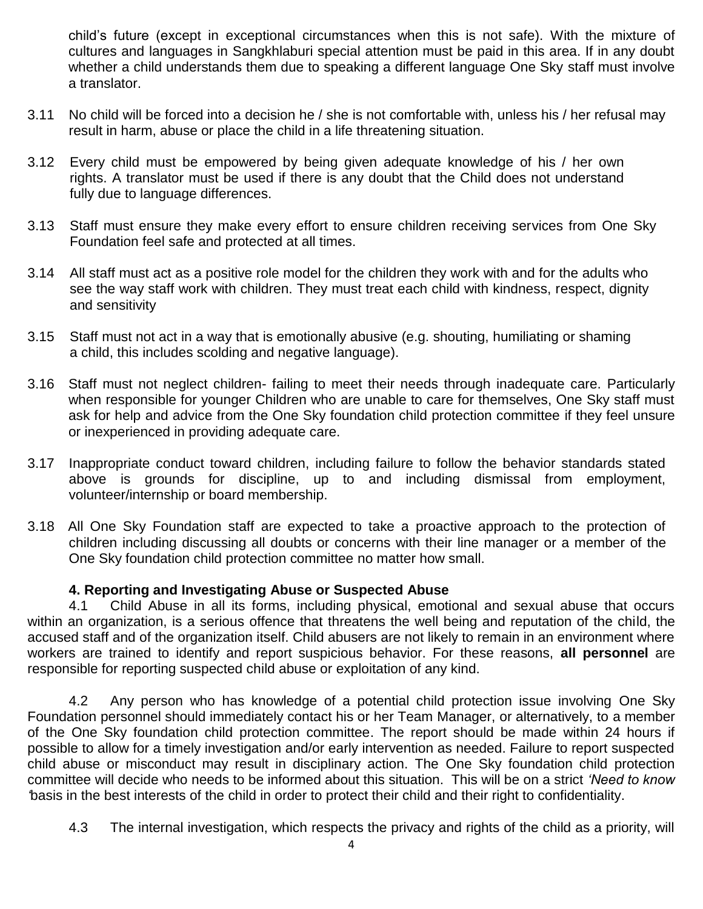child's future (except in exceptional circumstances when this is not safe). With the mixture of cultures and languages in Sangkhlaburi special attention must be paid in this area. If in any doubt whether a child understands them due to speaking a different language One Sky staff must involve a translator.

- 3.11 No child will be forced into a decision he / she is not comfortable with, unless his / her refusal may result in harm, abuse or place the child in a life threatening situation.
- 3.12 Every child must be empowered by being given adequate knowledge of his / her own rights. A translator must be used if there is any doubt that the Child does not understand fully due to language differences.
- 3.13 Staff must ensure they make every effort to ensure children receiving services from One Sky Foundation feel safe and protected at all times.
- 3.14 All staff must act as a positive role model for the children they work with and for the adults who see the way staff work with children. They must treat each child with kindness, respect, dignity and sensitivity
- 3.15 Staff must not act in a way that is emotionally abusive (e.g. shouting, humiliating or shaming a child, this includes scolding and negative language).
- 3.16 Staff must not neglect children- failing to meet their needs through inadequate care. Particularly when responsible for younger Children who are unable to care for themselves, One Sky staff must ask for help and advice from the One Sky foundation child protection committee if they feel unsure or inexperienced in providing adequate care.
- 3.17 Inappropriate conduct toward children, including failure to follow the behavior standards stated above is grounds for discipline, up to and including dismissal from employment, volunteer/internship or board membership.
- 3.18 All One Sky Foundation staff are expected to take a proactive approach to the protection of children including discussing all doubts or concerns with their line manager or a member of the One Sky foundation child protection committee no matter how small.

## **4. Reporting and Investigating Abuse or Suspected Abuse**

4.1 Child Abuse in all its forms, including physical, emotional and sexual abuse that occurs within an organization, is a serious offence that threatens the well being and reputation of the child, the accused staff and of the organization itself. Child abusers are not likely to remain in an environment where workers are trained to identify and report suspicious behavior. For these reasons, **all personnel** are responsible for reporting suspected child abuse or exploitation of any kind.

4.2 Any person who has knowledge of a potential child protection issue involving One Sky Foundation personnel should immediately contact his or her Team Manager, or alternatively, to a member of the One Sky foundation child protection committee. The report should be made within 24 hours if possible to allow for a timely investigation and/or early intervention as needed. Failure to report suspected child abuse or misconduct may result in disciplinary action. The One Sky foundation child protection committee will decide who needs to be informed about this situation. This will be on a strict *'Need to know '*basis in the best interests of the child in order to protect their child and their right to confidentiality.

4.3 The internal investigation, which respects the privacy and rights of the child as a priority, will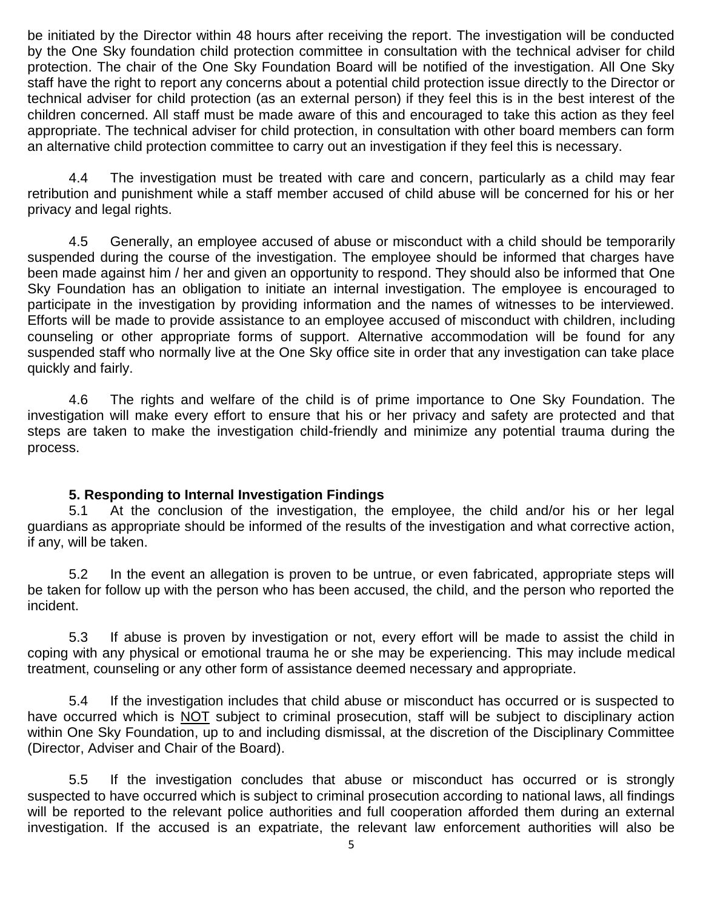be initiated by the Director within 48 hours after receiving the report. The investigation will be conducted by the One Sky foundation child protection committee in consultation with the technical adviser for child protection. The chair of the One Sky Foundation Board will be notified of the investigation. All One Sky staff have the right to report any concerns about a potential child protection issue directly to the Director or technical adviser for child protection (as an external person) if they feel this is in the best interest of the children concerned. All staff must be made aware of this and encouraged to take this action as they feel appropriate. The technical adviser for child protection, in consultation with other board members can form an alternative child protection committee to carry out an investigation if they feel this is necessary.

4.4 The investigation must be treated with care and concern, particularly as a child may fear retribution and punishment while a staff member accused of child abuse will be concerned for his or her privacy and legal rights.

4.5 Generally, an employee accused of abuse or misconduct with a child should be temporarily suspended during the course of the investigation. The employee should be informed that charges have been made against him / her and given an opportunity to respond. They should also be informed that One Sky Foundation has an obligation to initiate an internal investigation. The employee is encouraged to participate in the investigation by providing information and the names of witnesses to be interviewed. Efforts will be made to provide assistance to an employee accused of misconduct with children, including counseling or other appropriate forms of support. Alternative accommodation will be found for any suspended staff who normally live at the One Sky office site in order that any investigation can take place quickly and fairly.

4.6 The rights and welfare of the child is of prime importance to One Sky Foundation. The investigation will make every effort to ensure that his or her privacy and safety are protected and that steps are taken to make the investigation child-friendly and minimize any potential trauma during the process.

## **5. Responding to Internal Investigation Findings**

5.1 At the conclusion of the investigation, the employee, the child and/or his or her legal guardians as appropriate should be informed of the results of the investigation and what corrective action, if any, will be taken.

5.2 In the event an allegation is proven to be untrue, or even fabricated, appropriate steps will be taken for follow up with the person who has been accused, the child, and the person who reported the incident.

5.3 If abuse is proven by investigation or not, every effort will be made to assist the child in coping with any physical or emotional trauma he or she may be experiencing. This may include medical treatment, counseling or any other form of assistance deemed necessary and appropriate.

5.4 If the investigation includes that child abuse or misconduct has occurred or is suspected to have occurred which is NOT subject to criminal prosecution, staff will be subject to disciplinary action within One Sky Foundation, up to and including dismissal, at the discretion of the Disciplinary Committee (Director, Adviser and Chair of the Board).

5.5 If the investigation concludes that abuse or misconduct has occurred or is strongly suspected to have occurred which is subject to criminal prosecution according to national laws, all findings will be reported to the relevant police authorities and full cooperation afforded them during an external investigation. If the accused is an expatriate, the relevant law enforcement authorities will also be